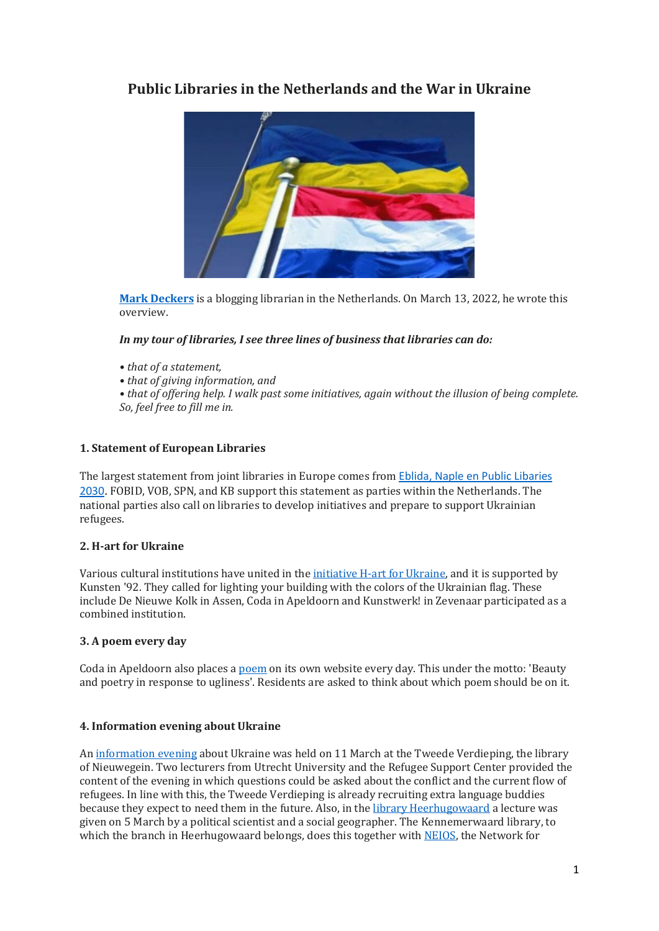# **Public Libraries in the Netherlands and the War in Ukraine**



**Mark [Deckers](https://www.markdeckers.net/)** is a blogging librarian in the Netherlands. On March 13, 2022, he wrote this overview.

## *In my tour of libraries, I see three lines of business that libraries can do:*

- *• that of a statement,*
- *• that of giving information, and*

*• that of offering help. I walk past some initiatives, again without the illusion of being complete. So, feel free to fill me in.*

# **1. Statement of European Libraries**

The largest statement from joint libraries in Europe comes from [Eblida, Naple en Public Libaries](http://www.eblida.org/news/the-russian-federation-barbaric-attack-against-ukraine.html)  [2030.](http://www.eblida.org/news/the-russian-federation-barbaric-attack-against-ukraine.html) FOBID, VOB, SPN, and KB support this statement as parties within the Netherlands. The national parties also call on libraries to develop initiatives and prepare to support Ukrainian refugees.

# **2. H-art for Ukraine**

Various cultural institutions have united in the [initiative](https://h-artforukraine.nl/) H-art for Ukraine, and it is supported by Kunsten '92. They called for lighting your building with the colors of the Ukrainian flag. These include De Nieuwe Kolk in Assen, Coda in Apeldoorn and Kunstwerk! in Zevenaar participated as a combined institution.

### **3. A poem every day**

Coda in Apeldoorn also places a [poem](https://www.coda-apeldoorn.nl/nl/lp/elke-dag-een-gedicht-voor-oekraine) on its own website every day. This under the motto: 'Beauty and poetry in response to ugliness'. Residents are asked to think about which poem should be on it.

### **4. Information evening about Ukraine**

An [information](https://www.detweedeverdieping.nu/oekraine-en-nieuwegein/) evening about Ukraine was held on 11 March at the Tweede Verdieping, the library of Nieuwegein. Two lecturers from Utrecht University and the Refugee Support Center provided the content of the evening in which questions could be asked about the conflict and the current flow of refugees. In line with this, the Tweede Verdieping is already recruiting extra language buddies because they expect to need them in the future. Also, in the library [Heerhugowaard](https://www.noordhollandsdagblad.nl/cnt/dmf20220227_17116447) a lecture was given on 5 March by a political scientist and a social geographer. The Kennemerwaard library, to which the branch in Heerhugowaard belongs, does this together with [NEIOS,](https://neios.nl/) the Network for